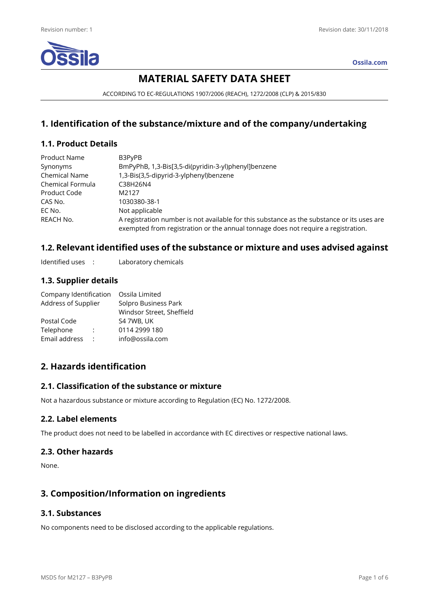

**Ossila.com**

# **MATERIAL SAFETY DATA SHEET**

ACCORDING TO EC-REGULATIONS 1907/2006 (REACH), 1272/2008 (CLP) & 2015/830

## **1. Identification of the substance/mixture and of the company/undertaking**

## **1.1. Product Details**

| <b>Product Name</b>  | B3PyPB                                                                                                                                                                          |
|----------------------|---------------------------------------------------------------------------------------------------------------------------------------------------------------------------------|
| Synonyms             | BmPyPhB, 1,3-Bis[3,5-di(pyridin-3-yl)phenyl]benzene                                                                                                                             |
| <b>Chemical Name</b> | 1,3-Bis(3,5-dipyrid-3-ylphenyl)benzene                                                                                                                                          |
| Chemical Formula     | C38H26N4                                                                                                                                                                        |
| Product Code         | M2127                                                                                                                                                                           |
| CAS No.              | 1030380-38-1                                                                                                                                                                    |
| EC No.               | Not applicable                                                                                                                                                                  |
| REACH No.            | A registration number is not available for this substance as the substance or its uses are<br>exempted from registration or the annual tonnage does not require a registration. |

## **1.2. Relevant identified uses of the substance or mixture and uses advised against**

Identified uses : Laboratory chemicals

## **1.3. Supplier details**

| Company Identification |   | Ossila Limited            |
|------------------------|---|---------------------------|
| Address of Supplier    |   | Solpro Business Park      |
|                        |   | Windsor Street, Sheffield |
| Postal Code            |   | S4 7WB, UK                |
| Telephone              | ÷ | 0114 2999 180             |
| Email address          | ٠ | info@ossila.com           |

## **2. Hazards identification**

## **2.1. Classification of the substance or mixture**

Not a hazardous substance or mixture according to Regulation (EC) No. 1272/2008.

## **2.2. Label elements**

The product does not need to be labelled in accordance with EC directives or respective national laws.

## **2.3. Other hazards**

None.

## **3. Composition/Information on ingredients**

## **3.1. Substances**

No components need to be disclosed according to the applicable regulations.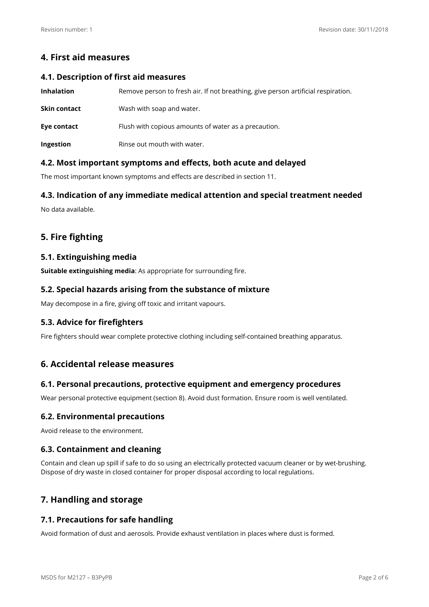## **4. First aid measures**

#### **4.1. Description of first aid measures**

| <b>Inhalation</b> | Remove person to fresh air. If not breathing, give person artificial respiration. |
|-------------------|-----------------------------------------------------------------------------------|
| Skin contact      | Wash with soap and water.                                                         |
| Eye contact       | Flush with copious amounts of water as a precaution.                              |
| Ingestion         | Rinse out mouth with water.                                                       |

## **4.2. Most important symptoms and effects, both acute and delayed**

The most important known symptoms and effects are described in section 11.

## **4.3. Indication of any immediate medical attention and special treatment needed**

No data available.

## **5. Fire fighting**

## **5.1. Extinguishing media**

**Suitable extinguishing media**: As appropriate for surrounding fire.

### **5.2. Special hazards arising from the substance of mixture**

May decompose in a fire, giving off toxic and irritant vapours.

## **5.3. Advice for firefighters**

Fire fighters should wear complete protective clothing including self-contained breathing apparatus.

## **6. Accidental release measures**

## **6.1. Personal precautions, protective equipment and emergency procedures**

Wear personal protective equipment (section 8). Avoid dust formation. Ensure room is well ventilated.

## **6.2. Environmental precautions**

Avoid release to the environment.

## **6.3. Containment and cleaning**

Contain and clean up spill if safe to do so using an electrically protected vacuum cleaner or by wet-brushing. Dispose of dry waste in closed container for proper disposal according to local regulations.

## **7. Handling and storage**

## **7.1. Precautions for safe handling**

Avoid formation of dust and aerosols. Provide exhaust ventilation in places where dust is formed.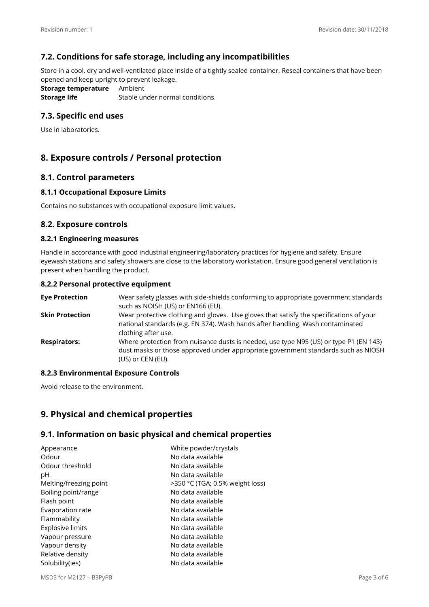## **7.2. Conditions for safe storage, including any incompatibilities**

Store in a cool, dry and well-ventilated place inside of a tightly sealed container. Reseal containers that have been opened and keep upright to prevent leakage.

**Storage temperature** Ambient **Storage life** Stable under normal conditions.

## **7.3. Specific end uses**

Use in laboratories.

## **8. Exposure controls / Personal protection**

#### **8.1. Control parameters**

#### **8.1.1 Occupational Exposure Limits**

Contains no substances with occupational exposure limit values.

#### **8.2. Exposure controls**

#### **8.2.1 Engineering measures**

Handle in accordance with good industrial engineering/laboratory practices for hygiene and safety. Ensure eyewash stations and safety showers are close to the laboratory workstation. Ensure good general ventilation is present when handling the product.

#### **8.2.2 Personal protective equipment**

| <b>Eve Protection</b>  | Wear safety glasses with side-shields conforming to appropriate government standards<br>such as NOISH (US) or EN166 (EU).                                                                        |
|------------------------|--------------------------------------------------------------------------------------------------------------------------------------------------------------------------------------------------|
| <b>Skin Protection</b> | Wear protective clothing and gloves. Use gloves that satisfy the specifications of your<br>national standards (e.g. EN 374). Wash hands after handling. Wash contaminated<br>clothing after use. |
| <b>Respirators:</b>    | Where protection from nuisance dusts is needed, use type N95 (US) or type P1 (EN 143)<br>dust masks or those approved under appropriate government standards such as NIOSH<br>(US) or CEN (EU).  |

#### **8.2.3 Environmental Exposure Controls**

Avoid release to the environment.

## **9. Physical and chemical properties**

#### **9.1. Information on basic physical and chemical properties**

| White powder/crystals<br>No data available |
|--------------------------------------------|
| No data available                          |
| No data available                          |
| >350 °C (TGA; 0.5% weight loss)            |
| No data available                          |
| No data available                          |
| No data available                          |
| No data available                          |
| No data available                          |
| No data available                          |
| No data available                          |
| No data available                          |
| No data available                          |
|                                            |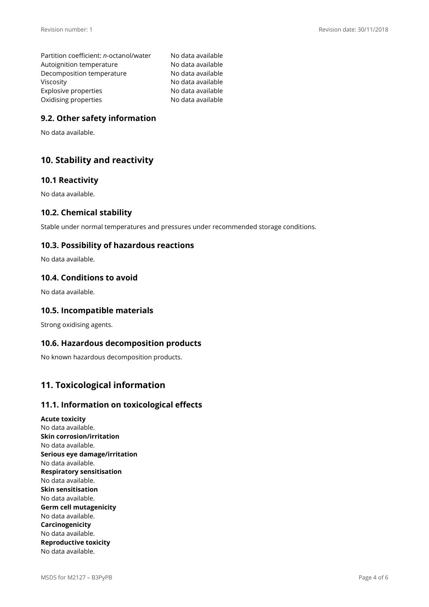Partition coefficient: *n-*octanol/water No data available Autoignition temperature No data available Decomposition temperature No data available Viscosity **No data available** Explosive properties No data available Oxidising properties No data available

## **9.2. Other safety information**

No data available.

## **10. Stability and reactivity**

#### **10.1 Reactivity**

No data available.

### **10.2. Chemical stability**

Stable under normal temperatures and pressures under recommended storage conditions.

### **10.3. Possibility of hazardous reactions**

No data available.

#### **10.4. Conditions to avoid**

No data available.

### **10.5. Incompatible materials**

Strong oxidising agents.

#### **10.6. Hazardous decomposition products**

No known hazardous decomposition products.

## **11. Toxicological information**

#### **11.1. Information on toxicological effects**

**Acute toxicity**  No data available. **Skin corrosion/irritation**  No data available. **Serious eye damage/irritation**  No data available. **Respiratory sensitisation**  No data available. **Skin sensitisation**  No data available. **Germ cell mutagenicity**  No data available. **Carcinogenicity**  No data available. **Reproductive toxicity**  No data available.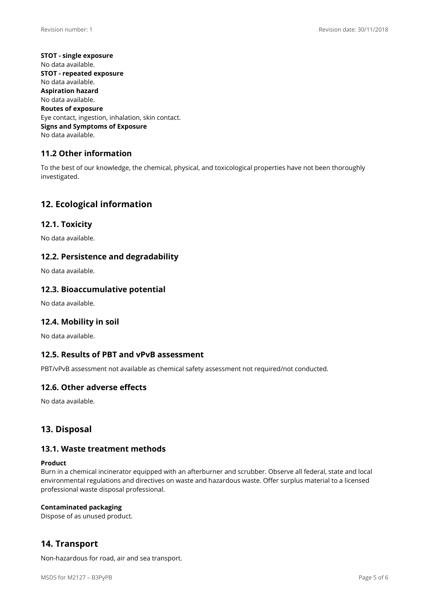**STOT - single exposure**  No data available. **STOT - repeated exposure**  No data available. **Aspiration hazard**  No data available. **Routes of exposure**  Eye contact, ingestion, inhalation, skin contact. **Signs and Symptoms of Exposure**  No data available.

## **11.2 Other information**

To the best of our knowledge, the chemical, physical, and toxicological properties have not been thoroughly investigated.

## **12. Ecological information**

### **12.1. Toxicity**

No data available.

### **12.2. Persistence and degradability**

No data available.

#### **12.3. Bioaccumulative potential**

No data available.

#### **12.4. Mobility in soil**

No data available.

#### **12.5. Results of PBT and vPvB assessment**

PBT/vPvB assessment not available as chemical safety assessment not required/not conducted.

#### **12.6. Other adverse effects**

No data available.

## **13. Disposal**

#### **13.1. Waste treatment methods**

#### **Product**

Burn in a chemical incinerator equipped with an afterburner and scrubber. Observe all federal, state and local environmental regulations and directives on waste and hazardous waste. Offer surplus material to a licensed professional waste disposal professional.

#### **Contaminated packaging**

Dispose of as unused product.

## **14. Transport**

Non-hazardous for road, air and sea transport.